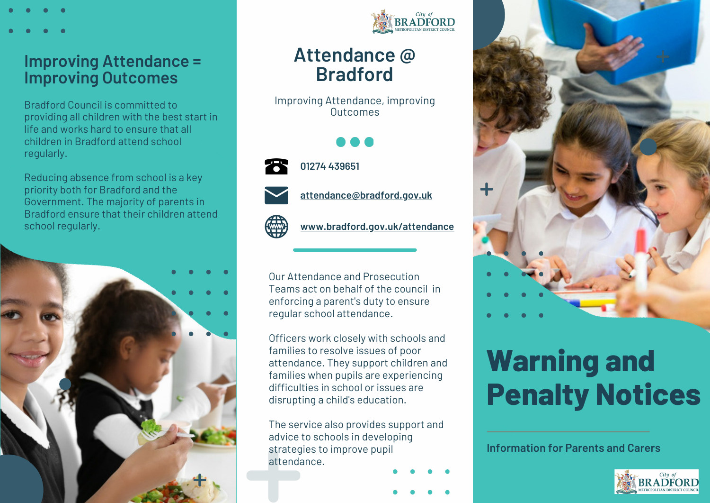## **Improving Attendance = Improving Outcomes**

Bradford Council is committed to providing all children with the best start in life and works hard to ensure that all children in Bradford attend school regularly.

Reducing absence from school is a key priority both for Bradford and the Government. The majority of parents in Bradford ensure that their children attend school regularly.





# **Attendance @ Bradford**

Improving Attendance, improving **Outcomes** 



**01274 439651**



**attendance@bradford.gov.uk**

**www.bradford.gov.uk/attendance**

Our Attendance and Prosecution Teams act on behalf of the council in enforcing a parent's duty to ensure regular school attendance.

Officers work closely with schools and families to resolve issues of poor attendance. They support children and families when pupils are experiencing difficulties in school or issues are disrupting a child's education.

The service also provides support and advice to schools in developing strategies to improve pupil attendance.



# **Warning and Penalty Notices**

**Information for Parents and Carers**